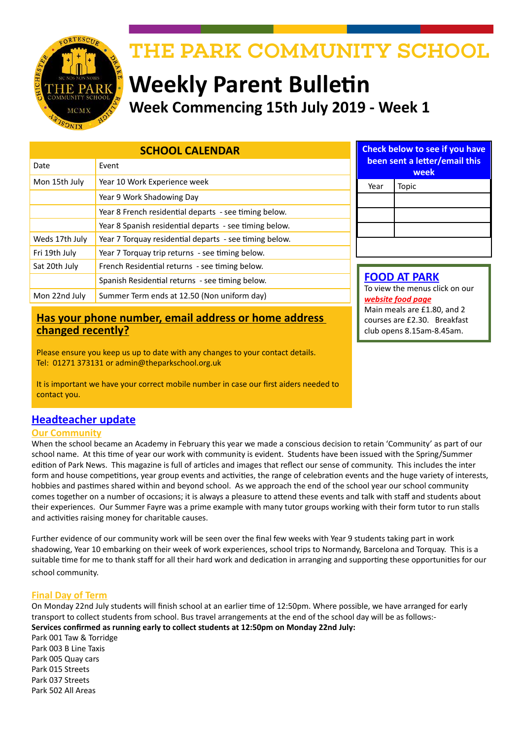

# THE PARK COMMUNITY SCHOOL

# **Weekly Parent Bulletin Week Commencing 15th July 2019 - Week 1**

| <b>SCHOOL CALENDAR</b> |                                                        |  |
|------------------------|--------------------------------------------------------|--|
| Date                   | Event                                                  |  |
| Mon 15th July          | Year 10 Work Experience week                           |  |
|                        | Year 9 Work Shadowing Day                              |  |
|                        | Year 8 French residential departs - see timing below.  |  |
|                        | Year 8 Spanish residential departs - see timing below. |  |
| Weds 17th July         | Year 7 Torquay residential departs - see timing below. |  |
| Fri 19th July          | Year 7 Torquay trip returns - see timing below.        |  |
| Sat 20th July          | French Residential returns - see timing below.         |  |
|                        | Spanish Residential returns - see timing below.        |  |
| Mon 22nd July          | Summer Term ends at 12.50 (Non uniform day)            |  |

# **Has your phone number, email address or home address changed recently?**

Please ensure you keep us up to date with any changes to your contact details. Tel: 01271 373131 or admin@theparkschool.org.uk

It is important we have your correct mobile number in case our first aiders needed to contact you.

# **Headteacher update**

## **Our Community**

When the school became an Academy in February this year we made a conscious decision to retain 'Community' as part of our school name. At this time of year our work with community is evident. Students have been issued with the Spring/Summer edition of Park News. This magazine is full of articles and images that reflect our sense of community. This includes the inter form and house competitions, year group events and activities, the range of celebration events and the huge variety of interests, hobbies and pastimes shared within and beyond school. As we approach the end of the school year our school community comes together on a number of occasions; it is always a pleasure to attend these events and talk with staff and students about their experiences. Our Summer Fayre was a prime example with many tutor groups working with their form tutor to run stalls and activities raising money for charitable causes.

Further evidence of our community work will be seen over the final few weeks with Year 9 students taking part in work shadowing, Year 10 embarking on their week of work experiences, school trips to Normandy, Barcelona and Torquay. This is a suitable time for me to thank staff for all their hard work and dedication in arranging and supporting these opportunities for our school community.

## **Final Day of Term**

On Monday 22nd July students will finish school at an earlier time of 12:50pm. Where possible, we have arranged for early transport to collect students from school. Bus travel arrangements at the end of the school day will be as follows:- **Services confirmed as running early to collect students at 12:50pm on Monday 22nd July:**

Park 001 Taw & Torridge Park 003 B Line Taxis Park 005 Quay cars Park 015 Streets Park 037 Streets Park 502 All Areas

| <b>Check below to see if you have</b><br>been sent a letter/email this<br>week |       |  |
|--------------------------------------------------------------------------------|-------|--|
| Year                                                                           | Topic |  |
|                                                                                |       |  |
|                                                                                |       |  |
|                                                                                |       |  |
|                                                                                |       |  |

**FOOD AT PARK** To view the menus click on our *[website food page](http://www.theparkschool.org.uk/food-park)* Main meals are £1.80, and 2 courses are £2.30. Breakfast club opens 8.15am-8.45am.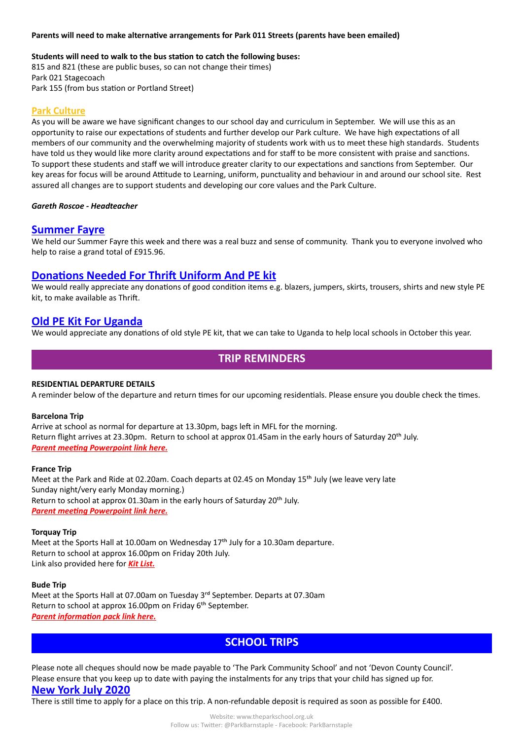#### **Parents will need to make alternative arrangements for Park 011 Streets (parents have been emailed)**

#### **Students will need to walk to the bus station to catch the following buses:**

815 and 821 (these are public buses, so can not change their times) Park 021 Stagecoach Park 155 (from bus station or Portland Street)

### **Park Culture**

As you will be aware we have significant changes to our school day and curriculum in September. We will use this as an opportunity to raise our expectations of students and further develop our Park culture. We have high expectations of all members of our community and the overwhelming majority of students work with us to meet these high standards. Students have told us they would like more clarity around expectations and for staff to be more consistent with praise and sanctions. To support these students and staff we will introduce greater clarity to our expectations and sanctions from September. Our key areas for focus will be around Attitude to Learning, uniform, punctuality and behaviour in and around our school site. Rest assured all changes are to support students and developing our core values and the Park Culture.

#### *Gareth Roscoe - Headteacher*

## **Summer Fayre**

We held our Summer Fayre this week and there was a real buzz and sense of community. Thank you to everyone involved who help to raise a grand total of £915.96.

## **Donations Needed For Thrift Uniform And PE kit**

We would really appreciate any donations of good condition items e.g. blazers, jumpers, skirts, trousers, shirts and new style PE kit, to make available as Thrift.

## **Old PE Kit For Uganda**

We would appreciate any donations of old style PE kit, that we can take to Uganda to help local schools in October this year.

# **TRIP REMINDERS**

#### **RESIDENTIAL DEPARTURE DETAILS**

A reminder below of the departure and return times for our upcoming residentials. Please ensure you double check the times.

#### **Barcelona Trip**

Arrive at school as normal for departure at 13.30pm, bags left in MFL for the morning. Return flight arrives at 23.30pm. Return to school at approx 01.45am in the early hours of Saturday 20<sup>th</sup> July. *[Parent meeting Powerpoint link here.](http://www.theparkschool.org.uk/sites/default/files/Parents-Meeting-Barcelona-2019.pdf)*

#### **France Trip**

Meet at the Park and Ride at 02.20am. Coach departs at 02.45 on Monday 15th July (we leave very late Sunday night/very early Monday morning.) Return to school at approx 01.30am in the early hours of Saturday 20<sup>th</sup> July. *[Parent meeting Powerpoint link here.](http://www.theparkschool.org.uk/sites/default/files/French%20Residential%202019%20-%20parent%20ppt.pdf)*

#### **Torquay Trip**

Meet at the Sports Hall at 10.00am on Wednesday 17<sup>th</sup> July for a 10.30am departure. Return to school at approx 16.00pm on Friday 20th July. Link also provided here for *[Kit List.](http://www.theparkschool.org.uk/sites/default/files/Torquay-Kit-list.pdf)*

#### **Bude Trip**

Meet at the Sports Hall at 07.00am on Tuesday 3rd September. Departs at 07.30am Return to school at approx 16.00pm on Friday 6<sup>th</sup> September. *[Parent information pack link here.](http://www.theparkschool.org.uk/sites/default/files/AdventureInternational-ParentsInformation.pdf)*

# **SCHOOL TRIPS**

Please note all cheques should now be made payable to 'The Park Community School' and not 'Devon County Council'. Please ensure that you keep up to date with paying the instalments for any trips that your child has signed up for. **New York July 2020**

There is still time to apply for a place on this trip. A non-refundable deposit is required as soon as possible for £400.